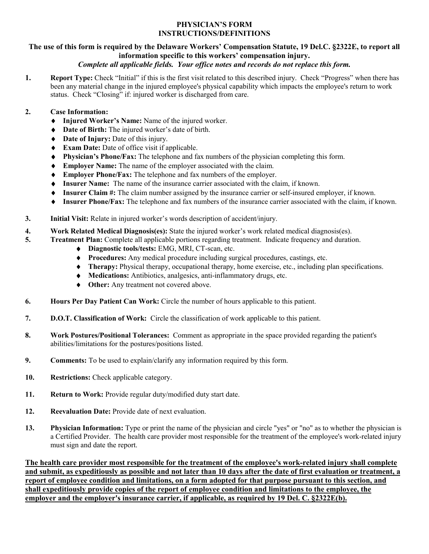## **PHYSICIAN'S FORM INSTRUCTIONS/DEFINITIONS**

# **The use of this form is required by the Delaware Workers' Compensation Statute, 19 Del.C. §2322E, to report all information specific to this workers' compensation injury.**

## *Complete all applicable fields. Your office notes and records do not replace this form.*

**1. Report Type:** Check "Initial" if this is the first visit related to this described injury. Check "Progress" when there has been any material change in the injured employee's physical capability which impacts the employee's return to work status. Check "Closing" if: injured worker is discharged from care.

## **2. Case Information:**

- ♦ **Injured Worker's Name:** Name of the injured worker.
- ♦ **Date of Birth:** The injured worker's date of birth.
- ♦ **Date of Injury:** Date of this injury.
- ♦ **Exam Date:** Date of office visit if applicable.
- ♦ **Physician's Phone/Fax:** The telephone and fax numbers of the physician completing this form.
- ♦ **Employer Name:** The name of the employer associated with the claim.
- ♦ **Employer Phone/Fax:** The telephone and fax numbers of the employer.
- ♦ **Insurer Name:** The name of the insurance carrier associated with the claim, if known.
- ♦ **Insurer Claim #:** The claim number assigned by the insurance carrier or self-insured employer, if known.
- ♦ **Insurer Phone/Fax:** The telephone and fax numbers of the insurance carrier associated with the claim, if known.
- **3. Initial Visit:** Relate in injured worker's words description of accident/injury.
- **4. Work Related Medical Diagnosis(es):** State the injured worker's work related medical diagnosis(es).<br> **5.** Treatment Plan: Complete all applicable portions regarding treatment. Indicate frequency and duration
	- **5. Treatment Plan:** Complete all applicable portions regarding treatment. Indicate frequency and duration.
		- ♦ **Diagnostic tools/tests:** EMG, MRI, CT-scan, etc.
		- ♦ **Procedures:** Any medical procedure including surgical procedures, castings, etc.
		- ♦ **Therapy:** Physical therapy, occupational therapy, home exercise, etc., including plan specifications.
		- ♦ **Medications:** Antibiotics, analgesics, anti-inflammatory drugs, etc.
		- ♦ **Other:** Any treatment not covered above.
- **6. Hours Per Day Patient Can Work:** Circle the number of hours applicable to this patient.
- **7. D.O.T. Classification of Work:** Circle the classification of work applicable to this patient.
- **8. Work Postures/Positional Tolerances:** Comment as appropriate in the space provided regarding the patient's abilities/limitations for the postures/positions listed.
- **9. Comments:** To be used to explain/clarify any information required by this form.
- 10. Restrictions: Check applicable category.
- 11. Return to Work: Provide regular duty/modified duty start date.
- **12. Reevaluation Date:** Provide date of next evaluation.
- **13. Physician Information:** Type or print the name of the physician and circle "yes" or "no" as to whether the physician is a Certified Provider. The health care provider most responsible for the treatment of the employee's work-related injury must sign and date the report.

**The health care provider most responsible for the treatment of the employee's work-related injury shall complete and submit, as expeditiously as possible and not later than 10 days after the date of first evaluation or treatment, a report of employee condition and limitations, on a form adopted for that purpose pursuant to this section, and shall expeditiously provide copies of the report of employee condition and limitations to the employee, the employer and the employer's insurance carrier, if applicable, as required by 19 Del. C. §2322E(b).**